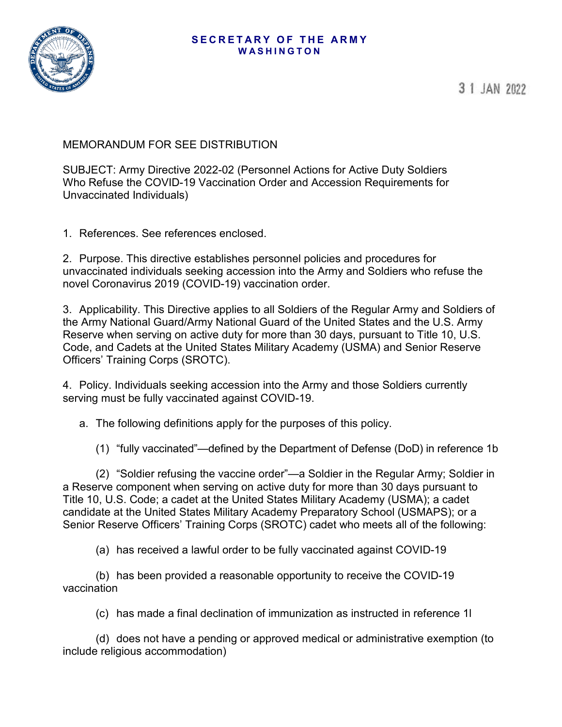

3 1 JAN 2022

MEMORANDUM FOR SEE DISTRIBUTION

SUBJECT: Army Directive 2022-02 (Personnel Actions for Active Duty Soldiers Who Refuse the COVID-19 Vaccination Order and Accession Requirements for Unvaccinated Individuals)

1. References. See references enclosed.

2. Purpose. This directive establishes personnel policies and procedures for unvaccinated individuals seeking accession into the Army and Soldiers who refuse the novel Coronavirus 2019 (COVID-19) vaccination order.

3. Applicability. This Directive applies to all Soldiers of the Regular Army and Soldiers of the Army National Guard/Army National Guard of the United States and the U.S. Army Reserve when serving on active duty for more than 30 days, pursuant to Title 10, U.S. Code, and Cadets at the United States Military Academy (USMA) and Senior Reserve Officers' Training Corps (SROTC).

4. Policy. Individuals seeking accession into the Army and those Soldiers currently serving must be fully vaccinated against COVID-19.

a. The following definitions apply for the purposes of this policy.

(1) "fully vaccinated"—defined by the Department of Defense (DoD) in reference 1b

(2) "Soldier refusing the vaccine order"—a Soldier in the Regular Army; Soldier in a Reserve component when serving on active duty for more than 30 days pursuant to Title 10, U.S. Code; a cadet at the United States Military Academy (USMA); a cadet candidate at the United States Military Academy Preparatory School (USMAPS); or a Senior Reserve Officers' Training Corps (SROTC) cadet who meets all of the following:

(a) has received a lawful order to be fully vaccinated against COVID-19

(b) has been provided a reasonable opportunity to receive the COVID-19 vaccination

(c) has made a final declination of immunization as instructed in reference 1l

(d) does not have a pending or approved medical or administrative exemption (to include religious accommodation)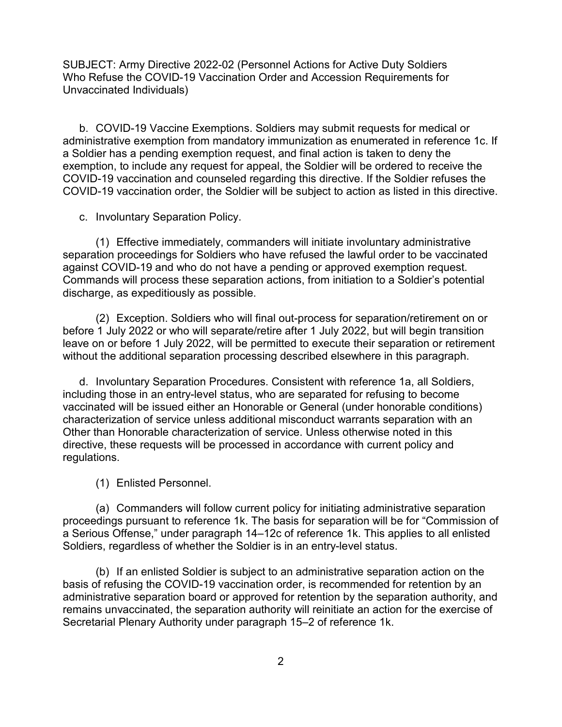b. COVID-19 Vaccine Exemptions. Soldiers may submit requests for medical or administrative exemption from mandatory immunization as enumerated in reference 1c. If a Soldier has a pending exemption request, and final action is taken to deny the exemption, to include any request for appeal, the Soldier will be ordered to receive the COVID-19 vaccination and counseled regarding this directive. If the Soldier refuses the COVID-19 vaccination order, the Soldier will be subject to action as listed in this directive.

c. Involuntary Separation Policy.

(1) Effective immediately, commanders will initiate involuntary administrative separation proceedings for Soldiers who have refused the lawful order to be vaccinated against COVID-19 and who do not have a pending or approved exemption request. Commands will process these separation actions, from initiation to a Soldier's potential discharge, as expeditiously as possible.

(2) Exception. Soldiers who will final out-process for separation/retirement on or before 1 July 2022 or who will separate/retire after 1 July 2022, but will begin transition leave on or before 1 July 2022, will be permitted to execute their separation or retirement without the additional separation processing described elsewhere in this paragraph.

d. Involuntary Separation Procedures. Consistent with reference 1a, all Soldiers, including those in an entry-level status, who are separated for refusing to become vaccinated will be issued either an Honorable or General (under honorable conditions) characterization of service unless additional misconduct warrants separation with an Other than Honorable characterization of service. Unless otherwise noted in this directive, these requests will be processed in accordance with current policy and regulations.

(1) Enlisted Personnel.

(a) Commanders will follow current policy for initiating administrative separation proceedings pursuant to reference 1k. The basis for separation will be for "Commission of a Serious Offense," under paragraph 14–12c of reference 1k. This applies to all enlisted Soldiers, regardless of whether the Soldier is in an entry-level status.

(b) If an enlisted Soldier is subject to an administrative separation action on the basis of refusing the COVID-19 vaccination order, is recommended for retention by an administrative separation board or approved for retention by the separation authority, and remains unvaccinated, the separation authority will reinitiate an action for the exercise of Secretarial Plenary Authority under paragraph 15–2 of reference 1k.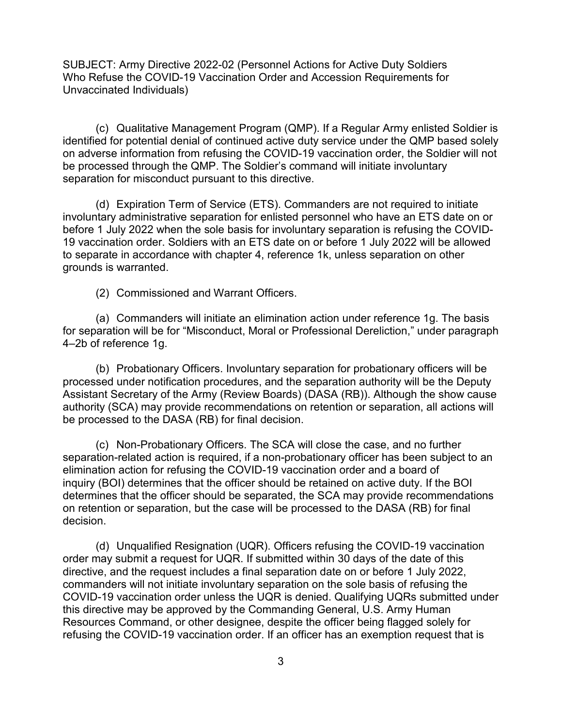(c) Qualitative Management Program (QMP). If a Regular Army enlisted Soldier is identified for potential denial of continued active duty service under the QMP based solely on adverse information from refusing the COVID-19 vaccination order, the Soldier will not be processed through the QMP. The Soldier's command will initiate involuntary separation for misconduct pursuant to this directive.

(d) Expiration Term of Service (ETS). Commanders are not required to initiate involuntary administrative separation for enlisted personnel who have an ETS date on or before 1 July 2022 when the sole basis for involuntary separation is refusing the COVID-19 vaccination order. Soldiers with an ETS date on or before 1 July 2022 will be allowed to separate in accordance with chapter 4, reference 1k, unless separation on other grounds is warranted.

(2) Commissioned and Warrant Officers.

(a) Commanders will initiate an elimination action under reference 1g. The basis for separation will be for "Misconduct, Moral or Professional Dereliction," under paragraph 4–2b of reference 1g.

(b) Probationary Officers. Involuntary separation for probationary officers will be processed under notification procedures, and the separation authority will be the Deputy Assistant Secretary of the Army (Review Boards) (DASA (RB)). Although the show cause authority (SCA) may provide recommendations on retention or separation, all actions will be processed to the DASA (RB) for final decision.

(c) Non-Probationary Officers. The SCA will close the case, and no further separation-related action is required, if a non-probationary officer has been subject to an elimination action for refusing the COVID-19 vaccination order and a board of inquiry (BOI) determines that the officer should be retained on active duty. If the BOI determines that the officer should be separated, the SCA may provide recommendations on retention or separation, but the case will be processed to the DASA (RB) for final decision.

(d) Unqualified Resignation (UQR). Officers refusing the COVID-19 vaccination order may submit a request for UQR. If submitted within 30 days of the date of this directive, and the request includes a final separation date on or before 1 July 2022, commanders will not initiate involuntary separation on the sole basis of refusing the COVID-19 vaccination order unless the UQR is denied. Qualifying UQRs submitted under this directive may be approved by the Commanding General, U.S. Army Human Resources Command, or other designee, despite the officer being flagged solely for refusing the COVID-19 vaccination order. If an officer has an exemption request that is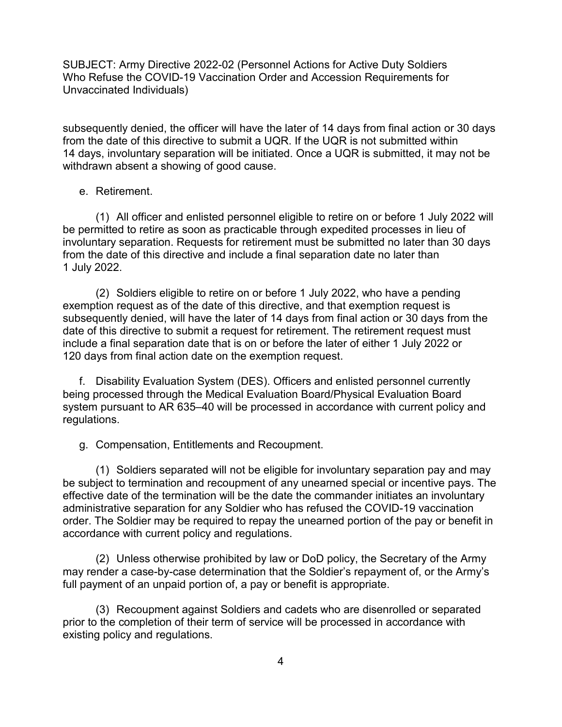subsequently denied, the officer will have the later of 14 days from final action or 30 days from the date of this directive to submit a UQR. If the UQR is not submitted within 14 days, involuntary separation will be initiated. Once a UQR is submitted, it may not be withdrawn absent a showing of good cause.

## e. Retirement.

(1) All officer and enlisted personnel eligible to retire on or before 1 July 2022 will be permitted to retire as soon as practicable through expedited processes in lieu of involuntary separation. Requests for retirement must be submitted no later than 30 days from the date of this directive and include a final separation date no later than 1 July 2022.

(2) Soldiers eligible to retire on or before 1 July 2022, who have a pending exemption request as of the date of this directive, and that exemption request is subsequently denied, will have the later of 14 days from final action or 30 days from the date of this directive to submit a request for retirement. The retirement request must include a final separation date that is on or before the later of either 1 July 2022 or 120 days from final action date on the exemption request.

f. Disability Evaluation System (DES). Officers and enlisted personnel currently being processed through the Medical Evaluation Board/Physical Evaluation Board system pursuant to AR 635–40 will be processed in accordance with current policy and regulations.

g. Compensation, Entitlements and Recoupment.

(1) Soldiers separated will not be eligible for involuntary separation pay and may be subject to termination and recoupment of any unearned special or incentive pays. The effective date of the termination will be the date the commander initiates an involuntary administrative separation for any Soldier who has refused the COVID-19 vaccination order. The Soldier may be required to repay the unearned portion of the pay or benefit in accordance with current policy and regulations.

(2) Unless otherwise prohibited by law or DoD policy, the Secretary of the Army may render a case-by-case determination that the Soldier's repayment of, or the Army's full payment of an unpaid portion of, a pay or benefit is appropriate.

(3) Recoupment against Soldiers and cadets who are disenrolled or separated prior to the completion of their term of service will be processed in accordance with existing policy and regulations.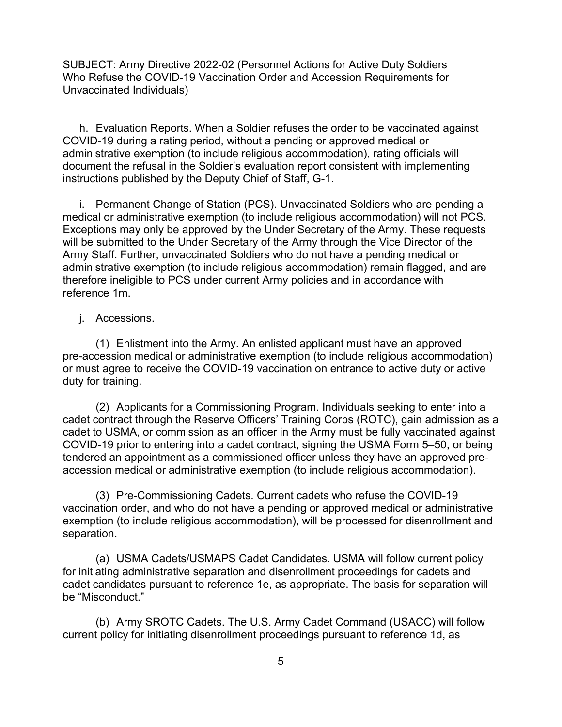h. Evaluation Reports. When a Soldier refuses the order to be vaccinated against COVID-19 during a rating period, without a pending or approved medical or administrative exemption (to include religious accommodation), rating officials will document the refusal in the Soldier's evaluation report consistent with implementing instructions published by the Deputy Chief of Staff, G-1.

i. Permanent Change of Station (PCS). Unvaccinated Soldiers who are pending a medical or administrative exemption (to include religious accommodation) will not PCS. Exceptions may only be approved by the Under Secretary of the Army. These requests will be submitted to the Under Secretary of the Army through the Vice Director of the Army Staff. Further, unvaccinated Soldiers who do not have a pending medical or administrative exemption (to include religious accommodation) remain flagged, and are therefore ineligible to PCS under current Army policies and in accordance with reference 1m.

## j. Accessions.

(1) Enlistment into the Army. An enlisted applicant must have an approved pre-accession medical or administrative exemption (to include religious accommodation) or must agree to receive the COVID-19 vaccination on entrance to active duty or active duty for training.

(2) Applicants for a Commissioning Program. Individuals seeking to enter into a cadet contract through the Reserve Officers' Training Corps (ROTC), gain admission as a cadet to USMA, or commission as an officer in the Army must be fully vaccinated against COVID-19 prior to entering into a cadet contract, signing the USMA Form 5–50, or being tendered an appointment as a commissioned officer unless they have an approved preaccession medical or administrative exemption (to include religious accommodation).

(3) Pre-Commissioning Cadets. Current cadets who refuse the COVID-19 vaccination order, and who do not have a pending or approved medical or administrative exemption (to include religious accommodation), will be processed for disenrollment and separation.

(a) USMA Cadets/USMAPS Cadet Candidates. USMA will follow current policy for initiating administrative separation and disenrollment proceedings for cadets and cadet candidates pursuant to reference 1e, as appropriate. The basis for separation will be "Misconduct."

(b) Army SROTC Cadets. The U.S. Army Cadet Command (USACC) will follow current policy for initiating disenrollment proceedings pursuant to reference 1d, as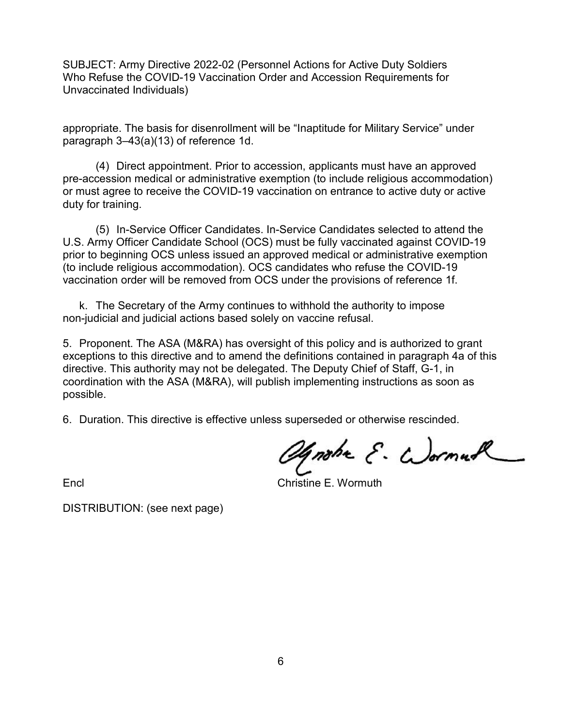appropriate. The basis for disenrollment will be "Inaptitude for Military Service" under paragraph 3–43(a)(13) of reference 1d.

(4) Direct appointment. Prior to accession, applicants must have an approved pre-accession medical or administrative exemption (to include religious accommodation) or must agree to receive the COVID-19 vaccination on entrance to active duty or active duty for training.

(5) In-Service Officer Candidates. In-Service Candidates selected to attend the U.S. Army Officer Candidate School (OCS) must be fully vaccinated against COVID-19 prior to beginning OCS unless issued an approved medical or administrative exemption (to include religious accommodation). OCS candidates who refuse the COVID-19 vaccination order will be removed from OCS under the provisions of reference 1f.

k. The Secretary of the Army continues to withhold the authority to impose non-judicial and judicial actions based solely on vaccine refusal.

5. Proponent. The ASA (M&RA) has oversight of this policy and is authorized to grant exceptions to this directive and to amend the definitions contained in paragraph 4a of this directive. This authority may not be delegated. The Deputy Chief of Staff, G-1, in coordination with the ASA (M&RA), will publish implementing instructions as soon as possible.

6. Duration. This directive is effective unless superseded or otherwise rescinded.

agnotre E. Wormuk

Encl **Example 2.** Christine E. Wormuth

DISTRIBUTION: (see next page)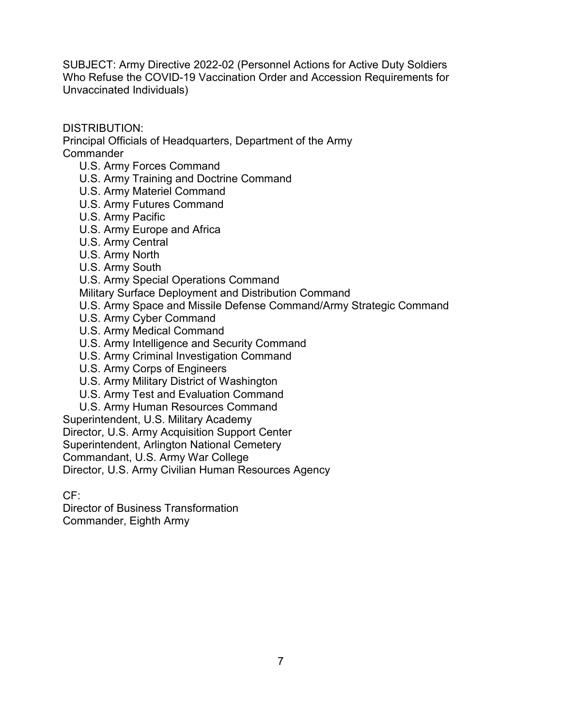DISTRIBUTION:

Principal Officials of Headquarters, Department of the Army Commander

- U.S. Army Forces Command
- U.S. Army Training and Doctrine Command
- U.S. Army Materiel Command
- U.S. Army Futures Command
- U.S. Army Pacific
- U.S. Army Europe and Africa
- U.S. Army Central
- U.S. Army North
- U.S. Army South
- U.S. Army Special Operations Command

Military Surface Deployment and Distribution Command

- U.S. Army Space and Missile Defense Command/Army Strategic Command
- U.S. Army Cyber Command
- U.S. Army Medical Command
- U.S. Army Intelligence and Security Command
- U.S. Army Criminal Investigation Command
- U.S. Army Corps of Engineers
- U.S. Army Military District of Washington
- U.S. Army Test and Evaluation Command
- U.S. Army Human Resources Command

Superintendent, U.S. Military Academy

Director, U.S. Army Acquisition Support Center

Superintendent, Arlington National Cemetery

Commandant, U.S. Army War College

Director, U.S. Army Civilian Human Resources Agency

 $CF:$ 

Director of Business Transformation Commander, Eighth Army